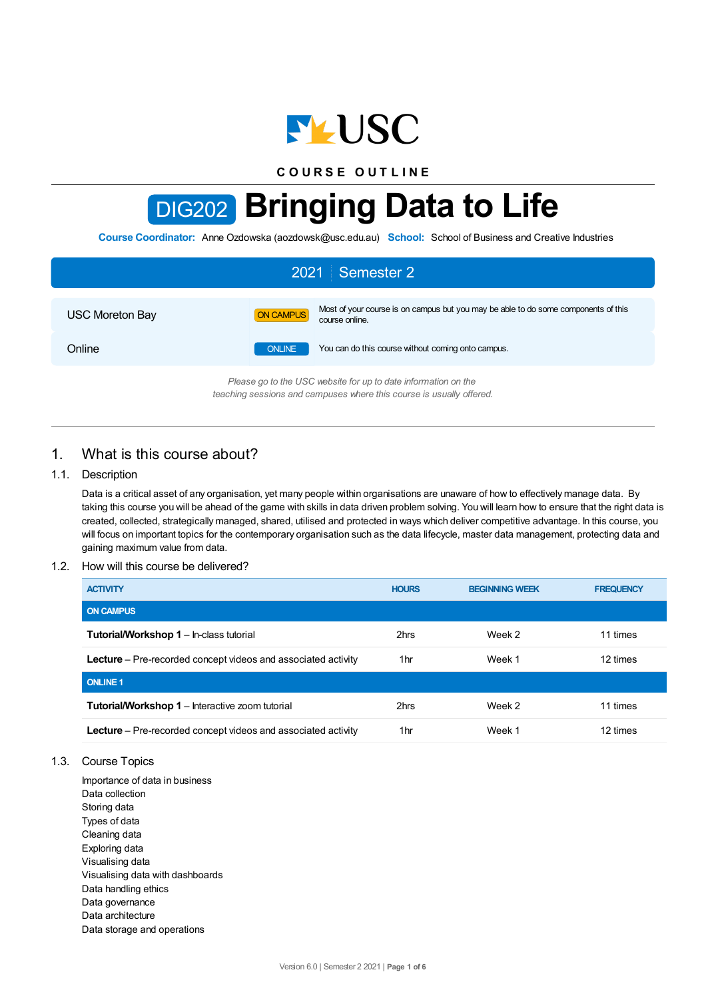

**C O U R S E O U T L I N E**

# DIG202 **Bringing Data to Life**

**Course Coordinator:** Anne Ozdowska (aozdowsk@usc.edu.au) **School:** School of Business and Creative Industries

| 2021 Semester 2                                                |                  |                                                                                                      |  |  |
|----------------------------------------------------------------|------------------|------------------------------------------------------------------------------------------------------|--|--|
| <b>USC Moreton Bay</b>                                         | <b>ON CAMPUS</b> | Most of your course is on campus but you may be able to do some components of this<br>course online. |  |  |
| Online                                                         | <b>ONLINE</b>    | You can do this course without coming onto campus.                                                   |  |  |
| Please go to the USC website for up to date information on the |                  |                                                                                                      |  |  |

*Please go to the USC website for up to date information on the teaching sessions and campuses where this course is usually offered.*

# 1. What is this course about?

## 1.1. Description

Data is a critical asset of any organisation, yet many people within organisations are unaware of how to effectively manage data. By taking this course you will be ahead of the game with skills in data driven problem solving. You will learn how to ensure that the right data is created, collected, strategically managed, shared, utilised and protected in ways which deliver competitive advantage. In this course, you will focus on important topics for the contemporary organisation such as the data lifecycle, master data management, protecting data and gaining maximum value from data.

#### 1.2. How will this course be delivered?

| <b>ACTIVITY</b>                                                      | <b>HOURS</b> | <b>BEGINNING WEEK</b> | <b>FREQUENCY</b> |
|----------------------------------------------------------------------|--------------|-----------------------|------------------|
| <b>ON CAMPUS</b>                                                     |              |                       |                  |
| <b>Tutorial/Workshop 1 - In-class tutorial</b>                       | 2hrs         | Week 2                | 11 times         |
| Lecture - Pre-recorded concept videos and associated activity        | 1hr          | Week 1                | 12 times         |
| <b>ONLINE 1</b>                                                      |              |                       |                  |
| <b>Tutorial/Workshop 1 – Interactive zoom tutorial</b>               | 2hrs         | Week 2                | 11 times         |
| <b>Lecture</b> – Pre-recorded concept videos and associated activity | 1hr          | Week 1                | 12 times         |

- 1.3. Course Topics
	- Importance of data in business Data collection Storing data Types of data Cleaning data Exploring data Visualising data Visualising data with dashboards Data handling ethics Data governance Data architecture Data storage and operations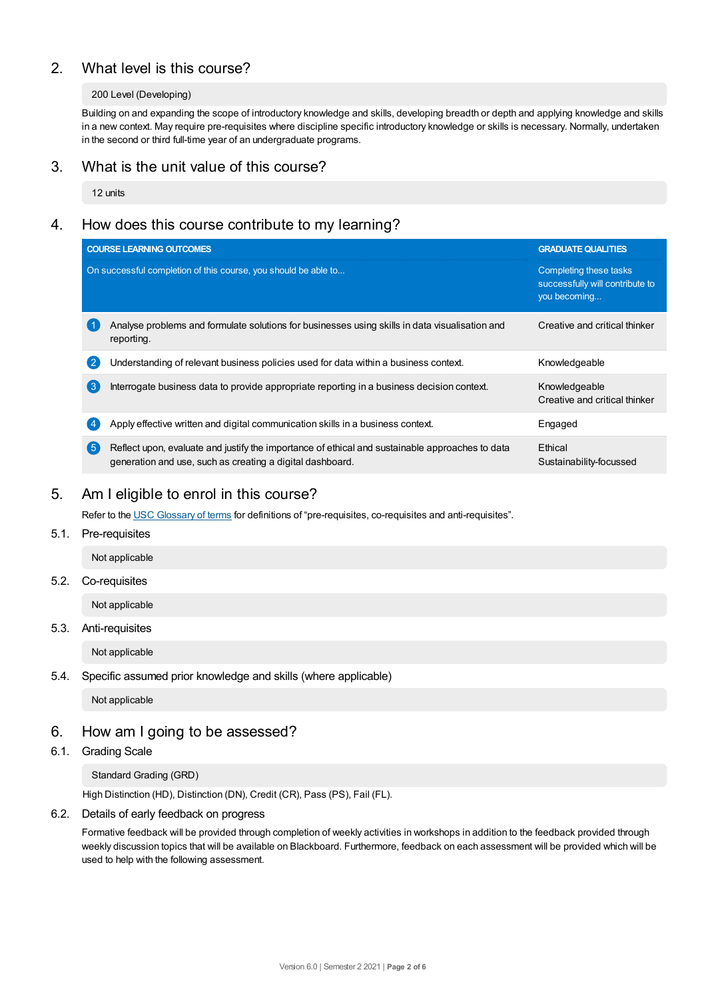# 2. What level is this course?

#### 200 Level (Developing)

Building on and expanding the scope of introductory knowledge and skills, developing breadth or depth and applying knowledge and skills in a new context. May require pre-requisites where discipline specific introductory knowledge or skills is necessary. Normally, undertaken in the second or third full-time year of an undergraduate programs.

## 3. What is the unit value of this course?

12 units

## 4. How does this course contribute to my learning?

|                | <b>COURSE LEARNING OUTCOMES</b>                                                                                                                              | <b>GRADUATE QUALITIES</b>                                                 |
|----------------|--------------------------------------------------------------------------------------------------------------------------------------------------------------|---------------------------------------------------------------------------|
|                | On successful completion of this course, you should be able to                                                                                               | Completing these tasks<br>successfully will contribute to<br>you becoming |
|                | Analyse problems and formulate solutions for businesses using skills in data visualisation and<br>reporting.                                                 | Creative and critical thinker                                             |
| $\overline{2}$ | Understanding of relevant business policies used for data within a business context.                                                                         | Knowledgeable                                                             |
| (ვ             | Interrogate business data to provide appropriate reporting in a business decision context.                                                                   | Knowledgeable<br>Creative and critical thinker                            |
|                | Apply effective written and digital communication skills in a business context.                                                                              | Engaged                                                                   |
| 【5             | Reflect upon, evaluate and justify the importance of ethical and sustainable approaches to data<br>generation and use, such as creating a digital dashboard. | Ethical<br>Sustainability-focussed                                        |

## 5. Am Ieligible to enrol in this course?

Refer to the USC [Glossary](https://www.usc.edu.au/about/policies-and-procedures/glossary-of-terms-for-policy-and-procedures) of terms for definitions of "pre-requisites, co-requisites and anti-requisites".

5.1. Pre-requisites

Not applicable

5.2. Co-requisites

Not applicable

5.3. Anti-requisites

Not applicable

5.4. Specific assumed prior knowledge and skills (where applicable)

Not applicable

## 6. How am Igoing to be assessed?

6.1. Grading Scale

Standard Grading (GRD)

High Distinction (HD), Distinction (DN), Credit (CR), Pass (PS), Fail (FL).

6.2. Details of early feedback on progress

Formative feedback will be provided through completion of weekly activities in workshops in addition to the feedback provided through weekly discussion topics that will be available on Blackboard. Furthermore, feedback on each assessment will be provided which will be used to help with the following assessment.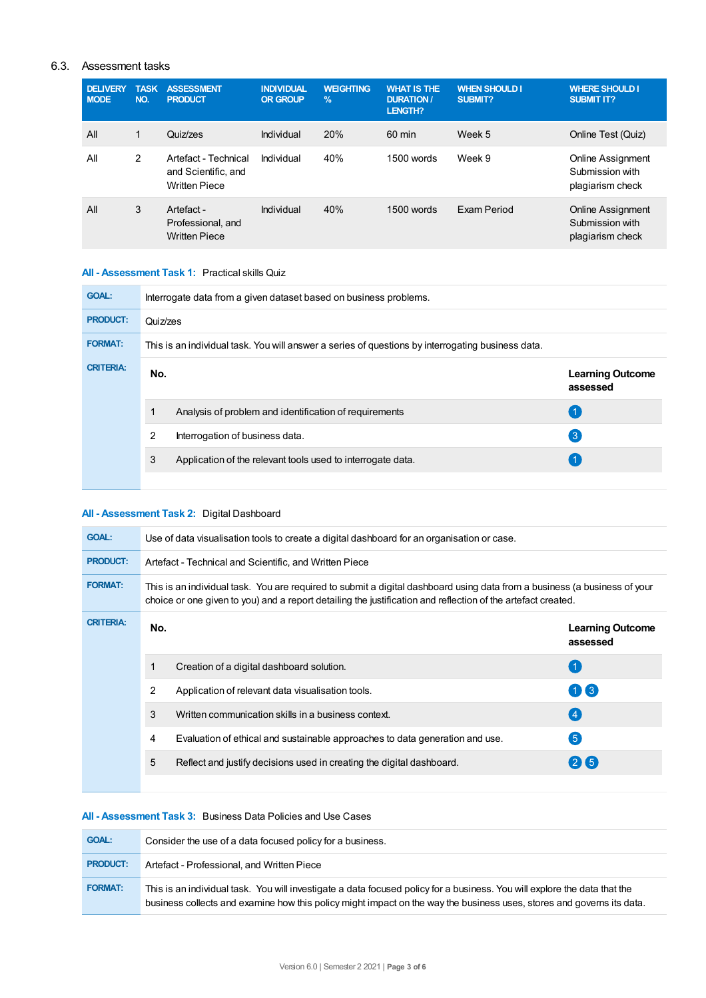## 6.3. Assessment tasks

| <b>DELIVERY</b><br><b>MODE</b> | <b>TASK</b><br>NO. | <b>ASSESSMENT</b><br><b>PRODUCT</b>                                 | <b>INDIVIDUAL</b><br><b>OR GROUP</b> | <b>WEIGHTING</b><br>$\frac{9}{6}$ | <b>WHAT IS THE</b><br><b>DURATION /</b><br>LENGTH? | <b>WHEN SHOULD I</b><br><b>SUBMIT?</b> | <b>WHERE SHOULD I</b><br><b>SUBMIT IT?</b>                      |
|--------------------------------|--------------------|---------------------------------------------------------------------|--------------------------------------|-----------------------------------|----------------------------------------------------|----------------------------------------|-----------------------------------------------------------------|
| All                            | 1                  | Quiz/zes                                                            | Individual                           | 20%                               | $60 \text{ min}$                                   | Week 5                                 | Online Test (Quiz)                                              |
| All                            | 2                  | Artefact - Technical<br>and Scientific, and<br><b>Written Piece</b> | Individual                           | 40%                               | 1500 words                                         | Week 9                                 | <b>Online Assignment</b><br>Submission with<br>plagiarism check |
| All                            | 3                  | Artefact -<br>Professional, and<br><b>Written Piece</b>             | Individual                           | 40%                               | $1500$ words                                       | Exam Period                            | Online Assignment<br>Submission with<br>plagiarism check        |

## **All - Assessment Task 1:** Practical skills Quiz

| <b>GOAL:</b>     | Interrogate data from a given dataset based on business problems. |                                                                                                   |                                     |  |  |  |
|------------------|-------------------------------------------------------------------|---------------------------------------------------------------------------------------------------|-------------------------------------|--|--|--|
| <b>PRODUCT:</b>  | Quiz/zes                                                          |                                                                                                   |                                     |  |  |  |
| <b>FORMAT:</b>   |                                                                   | This is an individual task. You will answer a series of questions by interrogating business data. |                                     |  |  |  |
| <b>CRITERIA:</b> | No.                                                               |                                                                                                   | <b>Learning Outcome</b><br>assessed |  |  |  |
|                  |                                                                   | Analysis of problem and identification of requirements                                            |                                     |  |  |  |
|                  | $\overline{2}$                                                    | Interrogation of business data.                                                                   | 3                                   |  |  |  |
|                  | 3                                                                 | Application of the relevant tools used to interrogate data.                                       |                                     |  |  |  |
|                  |                                                                   |                                                                                                   |                                     |  |  |  |

## **All - Assessment Task 2:** Digital Dashboard

| <b>GOAL:</b>     | Use of data visualisation tools to create a digital dashboard for an organisation or case.                                                                                                                                                |                                                                              |                                     |  |  |
|------------------|-------------------------------------------------------------------------------------------------------------------------------------------------------------------------------------------------------------------------------------------|------------------------------------------------------------------------------|-------------------------------------|--|--|
| <b>PRODUCT:</b>  | Artefact - Technical and Scientific, and Written Piece                                                                                                                                                                                    |                                                                              |                                     |  |  |
| <b>FORMAT:</b>   | This is an individual task. You are required to submit a digital dashboard using data from a business (a business of your<br>choice or one given to you) and a report detailing the justification and reflection of the artefact created. |                                                                              |                                     |  |  |
| <b>CRITERIA:</b> | No.                                                                                                                                                                                                                                       |                                                                              | <b>Learning Outcome</b><br>assessed |  |  |
|                  |                                                                                                                                                                                                                                           | Creation of a digital dashboard solution.                                    | (1)                                 |  |  |
|                  | 2                                                                                                                                                                                                                                         | Application of relevant data visualisation tools.                            | 113                                 |  |  |
|                  | 3                                                                                                                                                                                                                                         | Written communication skills in a business context.                          | $\left( 4\right)$                   |  |  |
|                  | 4                                                                                                                                                                                                                                         | Evaluation of ethical and sustainable approaches to data generation and use. | $\left[ 5\right]$                   |  |  |
|                  | 5                                                                                                                                                                                                                                         | Reflect and justify decisions used in creating the digital dashboard.        | 215                                 |  |  |
|                  |                                                                                                                                                                                                                                           |                                                                              |                                     |  |  |

#### **All - Assessment Task 3:** Business Data Policies and Use Cases

| <b>GOAL:</b>    | Consider the use of a data focused policy for a business.                                                                                                                                                                                          |
|-----------------|----------------------------------------------------------------------------------------------------------------------------------------------------------------------------------------------------------------------------------------------------|
| <b>PRODUCT:</b> | Artefact - Professional, and Written Piece                                                                                                                                                                                                         |
| <b>FORMAT:</b>  | This is an individual task. You will investigate a data focused policy for a business. You will explore the data that the<br>business collects and examine how this policy might impact on the way the business uses, stores and governs its data. |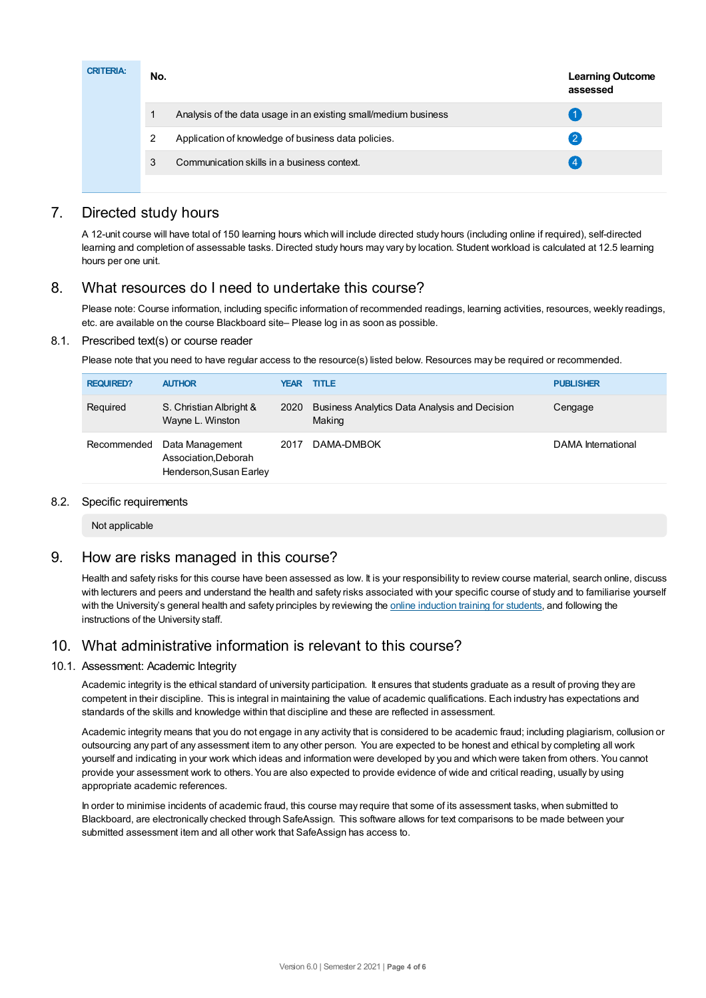| <b>CRITERIA:</b> | No. |                                                                 | <b>Learning Outcome</b><br>assessed |
|------------------|-----|-----------------------------------------------------------------|-------------------------------------|
|                  |     | Analysis of the data usage in an existing small/medium business |                                     |
|                  | 2   | Application of knowledge of business data policies.             | $\overline{2}$                      |
|                  | 3   | Communication skills in a business context.                     |                                     |
|                  |     |                                                                 |                                     |

# 7. Directed study hours

A 12-unit course will have total of 150 learning hours which will include directed study hours (including online if required), self-directed learning and completion of assessable tasks. Directed study hours may vary by location. Student workload is calculated at 12.5 learning hours per one unit.

# 8. What resources do I need to undertake this course?

Please note: Course information, including specific information of recommended readings, learning activities, resources, weekly readings, etc. are available on the course Blackboard site– Please log in as soon as possible.

## 8.1. Prescribed text(s) or course reader

Please note that you need to have regular access to the resource(s) listed below. Resources may be required or recommended.

| <b>REQUIRED?</b> | <b>AUTHOR</b>                                                      |      | <b>YEAR TITLE</b>                                       | <b>PUBLISHER</b>   |
|------------------|--------------------------------------------------------------------|------|---------------------------------------------------------|--------------------|
| Required         | S. Christian Albright &<br>Wayne L. Winston                        | 2020 | Business Analytics Data Analysis and Decision<br>Making | Cengage            |
| Recommended      | Data Management<br>Association, Deborah<br>Henderson, Susan Earley | 2017 | DAMA-DMBOK                                              | DAMA International |

## 8.2. Specific requirements

Not applicable

## 9. How are risks managed in this course?

Health and safety risks for this course have been assessed as low. It is your responsibility to review course material, search online, discuss with lecturers and peers and understand the health and safety risks associated with your specific course of study and to familiarise yourself with the University's general health and safety principles by reviewing the online [induction](https://online.usc.edu.au/webapps/blackboard/content/listContentEditable.jsp?content_id=_632657_1&course_id=_14432_1) training for students, and following the instructions of the University staff.

## 10. What administrative information is relevant to this course?

## 10.1. Assessment: Academic Integrity

Academic integrity is the ethical standard of university participation. It ensures that students graduate as a result of proving they are competent in their discipline. This is integral in maintaining the value of academic qualifications. Each industry has expectations and standards of the skills and knowledge within that discipline and these are reflected in assessment.

Academic integrity means that you do not engage in any activity that is considered to be academic fraud; including plagiarism, collusion or outsourcing any part of any assessment item to any other person. You are expected to be honest and ethical by completing all work yourself and indicating in your work which ideas and information were developed by you and which were taken from others. You cannot provide your assessment work to others. You are also expected to provide evidence of wide and critical reading, usually by using appropriate academic references.

In order to minimise incidents of academic fraud, this course may require that some of its assessment tasks, when submitted to Blackboard, are electronically checked through SafeAssign. This software allows for text comparisons to be made between your submitted assessment item and all other work that SafeAssign has access to.